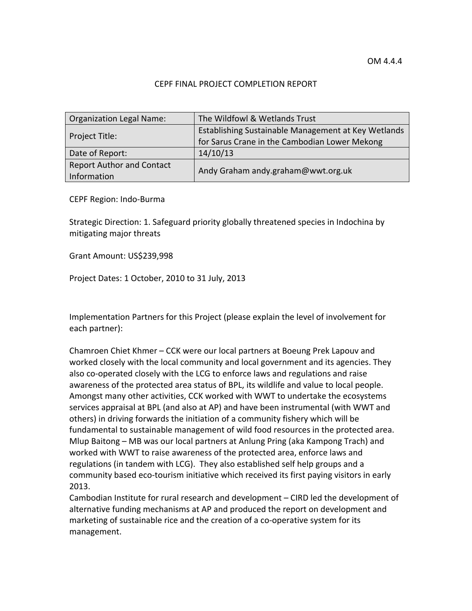#### CEPF FINAL PROJECT COMPLETION REPORT

| Organization Legal Name:         | The Wildfowl & Wetlands Trust                       |  |  |  |  |  |  |
|----------------------------------|-----------------------------------------------------|--|--|--|--|--|--|
|                                  | Establishing Sustainable Management at Key Wetlands |  |  |  |  |  |  |
| Project Title:                   | for Sarus Crane in the Cambodian Lower Mekong       |  |  |  |  |  |  |
| Date of Report:                  | 14/10/13                                            |  |  |  |  |  |  |
| <b>Report Author and Contact</b> |                                                     |  |  |  |  |  |  |
| Information                      | Andy Graham andy.graham@wwt.org.uk                  |  |  |  |  |  |  |

CEPF Region: Indo‐Burma

Strategic Direction: 1. Safeguard priority globally threatened species in Indochina by mitigating major threats

Grant Amount: US\$239,998

Project Dates: 1 October, 2010 to 31 July, 2013

Implementation Partners for this Project (please explain the level of involvement for each partner):

Chamroen Chiet Khmer – CCK were our local partners at Boeung Prek Lapouv and worked closely with the local community and local government and its agencies. They also co-operated closely with the LCG to enforce laws and regulations and raise awareness of the protected area status of BPL, its wildlife and value to local people. Amongst many other activities, CCK worked with WWT to undertake the ecosystems services appraisal at BPL (and also at AP) and have been instrumental (with WWT and others) in driving forwards the initiation of a community fishery which will be fundamental to sustainable management of wild food resources in the protected area. Mlup Baitong – MB was our local partners at Anlung Pring (aka Kampong Trach) and worked with WWT to raise awareness of the protected area, enforce laws and regulations (in tandem with LCG). They also established self help groups and a community based eco‐tourism initiative which received its first paying visitors in early 2013.

Cambodian Institute for rural research and development – CIRD led the development of alternative funding mechanisms at AP and produced the report on development and marketing of sustainable rice and the creation of a co-operative system for its management.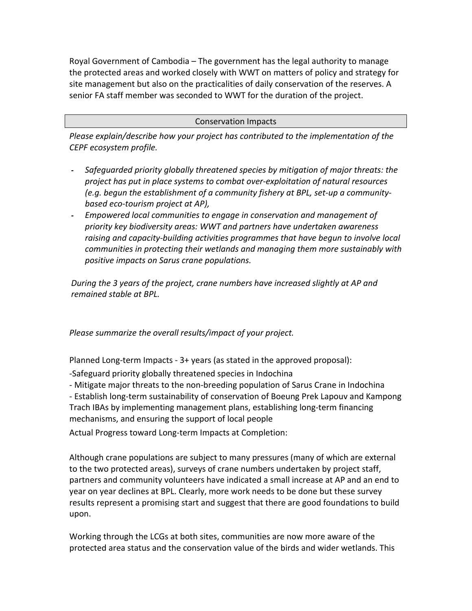Royal Government of Cambodia – The government has the legal authority to manage the protected areas and worked closely with WWT on matters of policy and strategy for site management but also on the practicalities of daily conservation of the reserves. A senior FA staff member was seconded to WWT for the duration of the project.

#### Conservation Impacts

*Please explain/describe how your project has contributed to the implementation of the CEPF ecosystem profile.*

- *Safeguarded priority globally threatened species by mitigation of major threats: the project has put in place systems to combat over‐exploitation of natural resources (e.g. begun the establishment of a community fishery at BPL, set‐up a community‐ based eco‐tourism project at AP),*
- *Empowered local communities to engage in conservation and management of priority key biodiversity areas: WWT and partners have undertaken awareness raising and capacity‐building activities programmes that have begun to involve local communities in protecting their wetlands and managing them more sustainably with positive impacts on Sarus crane populations.*

*During the 3 years of the project, crane numbers have increased slightly at AP and remained stable at BPL.*

*Please summarize the overall results/impact of your project.* 

Planned Long‐term Impacts ‐ 3+ years (as stated in the approved proposal):

‐Safeguard priority globally threatened species in Indochina

‐ Mitigate major threats to the non‐breeding population of Sarus Crane in Indochina

‐ Establish long‐term sustainability of conservation of Boeung Prek Lapouv and Kampong Trach IBAs by implementing management plans, establishing long‐term financing mechanisms, and ensuring the support of local people

Actual Progress toward Long‐term Impacts at Completion:

Although crane populations are subject to many pressures (many of which are external to the two protected areas), surveys of crane numbers undertaken by project staff, partners and community volunteers have indicated a small increase at AP and an end to year on year declines at BPL. Clearly, more work needs to be done but these survey results represent a promising start and suggest that there are good foundations to build upon.

Working through the LCGs at both sites, communities are now more aware of the protected area status and the conservation value of the birds and wider wetlands. This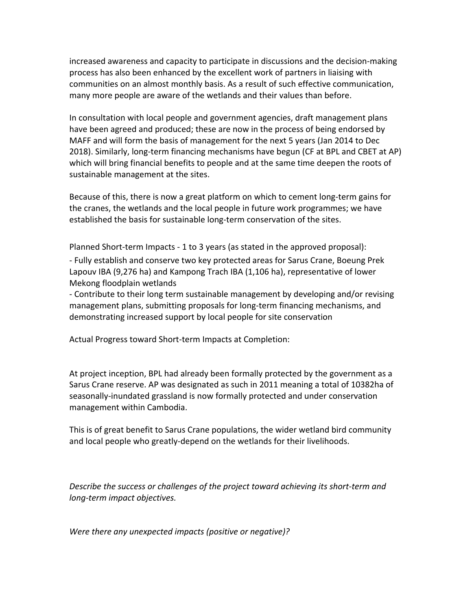increased awareness and capacity to participate in discussions and the decision‐making process has also been enhanced by the excellent work of partners in liaising with communities on an almost monthly basis. As a result of such effective communication, many more people are aware of the wetlands and their values than before.

In consultation with local people and government agencies, draft management plans have been agreed and produced; these are now in the process of being endorsed by MAFF and will form the basis of management for the next 5 years (Jan 2014 to Dec 2018). Similarly, long‐term financing mechanisms have begun (CF at BPL and CBET at AP) which will bring financial benefits to people and at the same time deepen the roots of sustainable management at the sites.

Because of this, there is now a great platform on which to cement long‐term gains for the cranes, the wetlands and the local people in future work programmes; we have established the basis for sustainable long‐term conservation of the sites.

Planned Short‐term Impacts ‐ 1 to 3 years (as stated in the approved proposal):

‐ Fully establish and conserve two key protected areas for Sarus Crane, Boeung Prek Lapouv IBA (9,276 ha) and Kampong Trach IBA (1,106 ha), representative of lower Mekong floodplain wetlands

‐ Contribute to their long term sustainable management by developing and/or revising management plans, submitting proposals for long‐term financing mechanisms, and demonstrating increased support by local people for site conservation

Actual Progress toward Short‐term Impacts at Completion:

At project inception, BPL had already been formally protected by the government as a Sarus Crane reserve. AP was designated as such in 2011 meaning a total of 10382ha of seasonally‐inundated grassland is now formally protected and under conservation management within Cambodia.

This is of great benefit to Sarus Crane populations, the wider wetland bird community and local people who greatly‐depend on the wetlands for their livelihoods.

*Describe the success or challenges of the project toward achieving its short‐term and long‐term impact objectives.*

*Were there any unexpected impacts (positive or negative)?*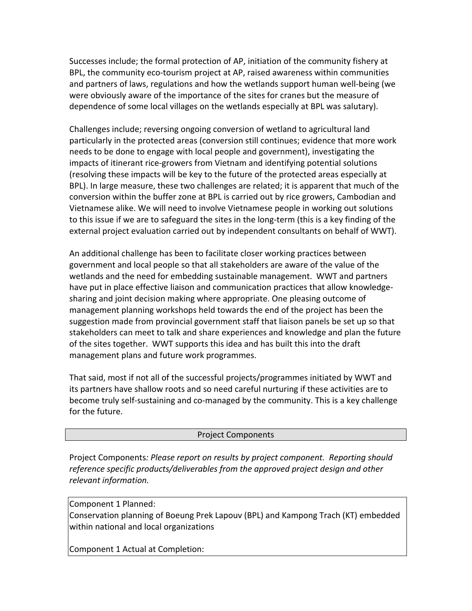Successes include; the formal protection of AP, initiation of the community fishery at BPL, the community eco-tourism project at AP, raised awareness within communities and partners of laws, regulations and how the wetlands support human well‐being (we were obviously aware of the importance of the sites for cranes but the measure of dependence of some local villages on the wetlands especially at BPL was salutary).

Challenges include; reversing ongoing conversion of wetland to agricultural land particularly in the protected areas (conversion still continues; evidence that more work needs to be done to engage with local people and government), investigating the impacts of itinerant rice‐growers from Vietnam and identifying potential solutions (resolving these impacts will be key to the future of the protected areas especially at BPL). In large measure, these two challenges are related; it is apparent that much of the conversion within the buffer zone at BPL is carried out by rice growers, Cambodian and Vietnamese alike. We will need to involve Vietnamese people in working out solutions to this issue if we are to safeguard the sites in the long‐term (this is a key finding of the external project evaluation carried out by independent consultants on behalf of WWT).

An additional challenge has been to facilitate closer working practices between government and local people so that all stakeholders are aware of the value of the wetlands and the need for embedding sustainable management. WWT and partners have put in place effective liaison and communication practices that allow knowledge‐ sharing and joint decision making where appropriate. One pleasing outcome of management planning workshops held towards the end of the project has been the suggestion made from provincial government staff that liaison panels be set up so that stakeholders can meet to talk and share experiences and knowledge and plan the future of the sites together. WWT supports this idea and has built this into the draft management plans and future work programmes.

That said, most if not all of the successful projects/programmes initiated by WWT and its partners have shallow roots and so need careful nurturing if these activities are to become truly self-sustaining and co-managed by the community. This is a key challenge for the future.

### Project Components

Project Components*: Please report on results by project component. Reporting should reference specific products/deliverables from the approved project design and other relevant information.*

Component 1 Planned:

Conservation planning of Boeung Prek Lapouv (BPL) and Kampong Trach (KT) embedded within national and local organizations

Component 1 Actual at Completion: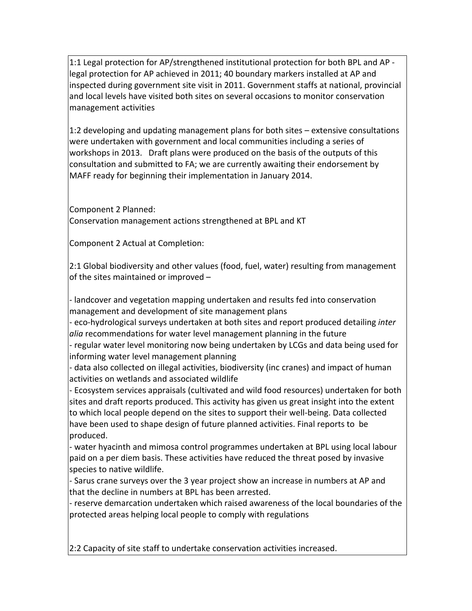1:1 Legal protection for AP/strengthened institutional protection for both BPL and AP ‐ legal protection for AP achieved in 2011; 40 boundary markers installed at AP and inspected during government site visit in 2011. Government staffs at national, provincial and local levels have visited both sites on several occasions to monitor conservation management activities

1:2 developing and updating management plans for both sites – extensive consultations were undertaken with government and local communities including a series of workshops in 2013. Draft plans were produced on the basis of the outputs of this consultation and submitted to FA; we are currently awaiting their endorsement by MAFF ready for beginning their implementation in January 2014.

Component 2 Planned:

Conservation management actions strengthened at BPL and KT

Component 2 Actual at Completion:

2:1 Global biodiversity and other values (food, fuel, water) resulting from management of the sites maintained or improved –

‐ landcover and vegetation mapping undertaken and results fed into conservation management and development of site management plans

‐ eco‐hydrological surveys undertaken at both sites and report produced detailing *inter alia* recommendations for water level management planning in the future

‐ regular water level monitoring now being undertaken by LCGs and data being used for informing water level management planning

‐ data also collected on illegal activities, biodiversity (inc cranes) and impact of human activities on wetlands and associated wildlife

‐ Ecosystem services appraisals (cultivated and wild food resources) undertaken for both sites and draft reports produced. This activity has given us great insight into the extent to which local people depend on the sites to support their well‐being. Data collected have been used to shape design of future planned activities. Final reports to be produced.

‐ water hyacinth and mimosa control programmes undertaken at BPL using local labour paid on a per diem basis. These activities have reduced the threat posed by invasive species to native wildlife.

‐ Sarus crane surveys over the 3 year project show an increase in numbers at AP and that the decline in numbers at BPL has been arrested.

‐ reserve demarcation undertaken which raised awareness of the local boundaries of the protected areas helping local people to comply with regulations

2:2 Capacity of site staff to undertake conservation activities increased.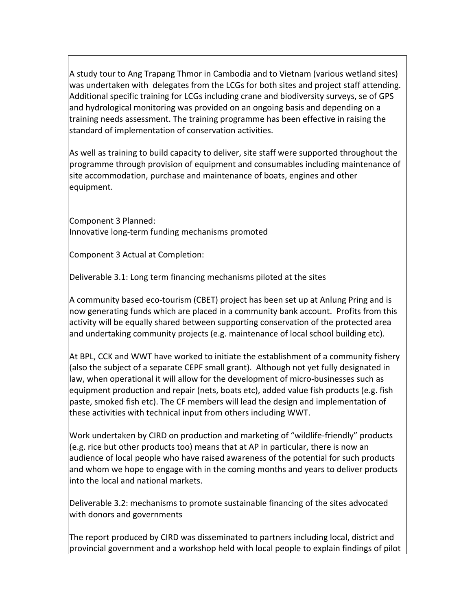A study tour to Ang Trapang Thmor in Cambodia and to Vietnam (various wetland sites) was undertaken with delegates from the LCGs for both sites and project staff attending. Additional specific training for LCGs including crane and biodiversity surveys, se of GPS and hydrological monitoring was provided on an ongoing basis and depending on a training needs assessment. The training programme has been effective in raising the standard of implementation of conservation activities.

As well as training to build capacity to deliver, site staff were supported throughout the programme through provision of equipment and consumables including maintenance of site accommodation, purchase and maintenance of boats, engines and other equipment.

Component 3 Planned: Innovative long‐term funding mechanisms promoted

Component 3 Actual at Completion:

Deliverable 3.1: Long term financing mechanisms piloted at the sites

A community based eco‐tourism (CBET) project has been set up at Anlung Pring and is now generating funds which are placed in a community bank account. Profits from this activity will be equally shared between supporting conservation of the protected area and undertaking community projects (e.g. maintenance of local school building etc).

At BPL, CCK and WWT have worked to initiate the establishment of a community fishery (also the subject of a separate CEPF small grant). Although not yet fully designated in law, when operational it will allow for the development of micro‐businesses such as equipment production and repair (nets, boats etc), added value fish products (e.g. fish paste, smoked fish etc). The CF members will lead the design and implementation of these activities with technical input from others including WWT.

Work undertaken by CIRD on production and marketing of "wildlife‐friendly" products (e.g. rice but other products too) means that at AP in particular, there is now an audience of local people who have raised awareness of the potential for such products and whom we hope to engage with in the coming months and years to deliver products into the local and national markets.

Deliverable 3.2: mechanisms to promote sustainable financing of the sites advocated with donors and governments

The report produced by CIRD was disseminated to partners including local, district and provincial government and a workshop held with local people to explain findings of pilot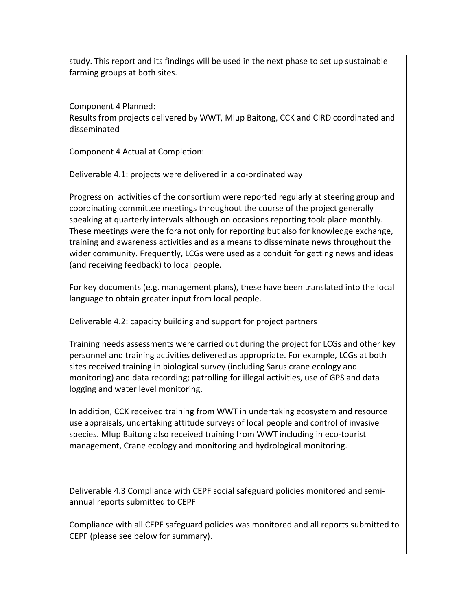study. This report and its findings will be used in the next phase to set up sustainable farming groups at both sites.

Component 4 Planned:

Results from projects delivered by WWT, Mlup Baitong, CCK and CIRD coordinated and disseminated

Component 4 Actual at Completion:

Deliverable 4.1: projects were delivered in a co-ordinated way

Progress on activities of the consortium were reported regularly at steering group and coordinating committee meetings throughout the course of the project generally speaking at quarterly intervals although on occasions reporting took place monthly. These meetings were the fora not only for reporting but also for knowledge exchange, training and awareness activities and as a means to disseminate news throughout the wider community. Frequently, LCGs were used as a conduit for getting news and ideas (and receiving feedback) to local people.

For key documents (e.g. management plans), these have been translated into the local language to obtain greater input from local people.

Deliverable 4.2: capacity building and support for project partners

Training needs assessments were carried out during the project for LCGs and other key personnel and training activities delivered as appropriate. For example, LCGs at both sites received training in biological survey (including Sarus crane ecology and monitoring) and data recording; patrolling for illegal activities, use of GPS and data logging and water level monitoring.

In addition, CCK received training from WWT in undertaking ecosystem and resource use appraisals, undertaking attitude surveys of local people and control of invasive species. Mlup Baitong also received training from WWT including in eco-tourist management, Crane ecology and monitoring and hydrological monitoring.

Deliverable 4.3 Compliance with CEPF social safeguard policies monitored and semi‐ annual reports submitted to CEPF

Compliance with all CEPF safeguard policies was monitored and all reports submitted to CEPF (please see below for summary).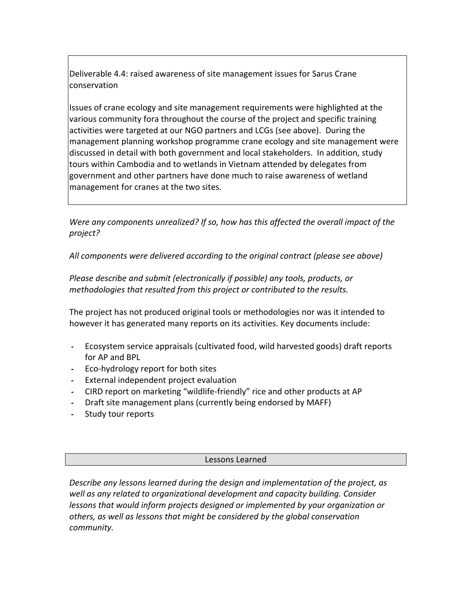Deliverable 4.4: raised awareness of site management issues for Sarus Crane conservation

Issues of crane ecology and site management requirements were highlighted at the various community fora throughout the course of the project and specific training activities were targeted at our NGO partners and LCGs (see above). During the management planning workshop programme crane ecology and site management were discussed in detail with both government and local stakeholders. In addition, study tours within Cambodia and to wetlands in Vietnam attended by delegates from government and other partners have done much to raise awareness of wetland management for cranes at the two sites.

*Were any components unrealized? If so, how has this affected the overall impact of the project?*

*All components were delivered according to the original contract (please see above)*

*Please describe and submit (electronically if possible) any tools, products, or methodologies that resulted from this project or contributed to the results.*

The project has not produced original tools or methodologies nor was it intended to however it has generated many reports on its activities. Key documents include:

- Ecosystem service appraisals (cultivated food, wild harvested goods) draft reports for AP and BPL
- Eco‐hydrology report for both sites
- External independent project evaluation
- CIRD report on marketing "wildlife‐friendly" rice and other products at AP
- Draft site management plans (currently being endorsed by MAFF)
- Study tour reports

#### Lessons Learned

*Describe any lessons learned during the design and implementation of the project, as well as any related to organizational development and capacity building. Consider lessons that would inform projects designed or implemented by your organization or others, as well as lessons that might be considered by the global conservation community.*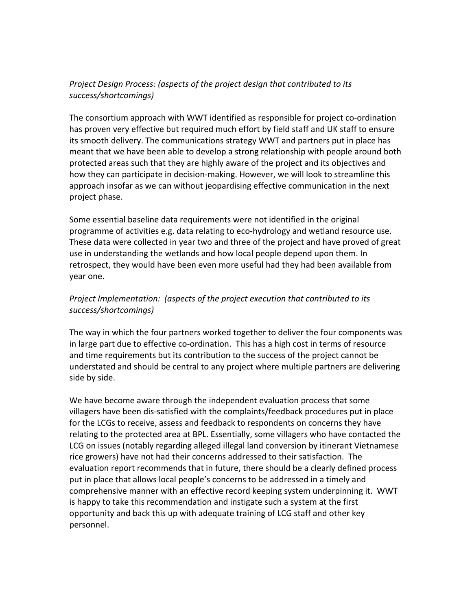# *Project Design Process: (aspects of the project design that contributed to its success/shortcomings)*

The consortium approach with WWT identified as responsible for project co‐ordination has proven very effective but required much effort by field staff and UK staff to ensure its smooth delivery. The communications strategy WWT and partners put in place has meant that we have been able to develop a strong relationship with people around both protected areas such that they are highly aware of the project and its objectives and how they can participate in decision‐making. However, we will look to streamline this approach insofar as we can without jeopardising effective communication in the next project phase.

Some essential baseline data requirements were not identified in the original programme of activities e.g. data relating to eco‐hydrology and wetland resource use. These data were collected in year two and three of the project and have proved of great use in understanding the wetlands and how local people depend upon them. In retrospect, they would have been even more useful had they had been available from year one.

# *Project Implementation: (aspects of the project execution that contributed to its success/shortcomings)*

The way in which the four partners worked together to deliver the four components was in large part due to effective co-ordination. This has a high cost in terms of resource and time requirements but its contribution to the success of the project cannot be understated and should be central to any project where multiple partners are delivering side by side.

We have become aware through the independent evaluation process that some villagers have been dis‐satisfied with the complaints/feedback procedures put in place for the LCGs to receive, assess and feedback to respondents on concerns they have relating to the protected area at BPL. Essentially, some villagers who have contacted the LCG on issues (notably regarding alleged illegal land conversion by itinerant Vietnamese rice growers) have not had their concerns addressed to their satisfaction. The evaluation report recommends that in future, there should be a clearly defined process put in place that allows local people's concerns to be addressed in a timely and comprehensive manner with an effective record keeping system underpinning it. WWT is happy to take this recommendation and instigate such a system at the first opportunity and back this up with adequate training of LCG staff and other key personnel.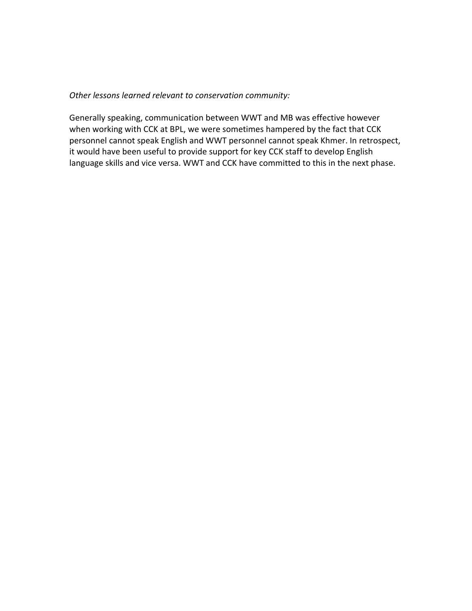*Other lessons learned relevant to conservation community:*

Generally speaking, communication between WWT and MB was effective however when working with CCK at BPL, we were sometimes hampered by the fact that CCK personnel cannot speak English and WWT personnel cannot speak Khmer. In retrospect, it would have been useful to provide support for key CCK staff to develop English language skills and vice versa. WWT and CCK have committed to this in the next phase.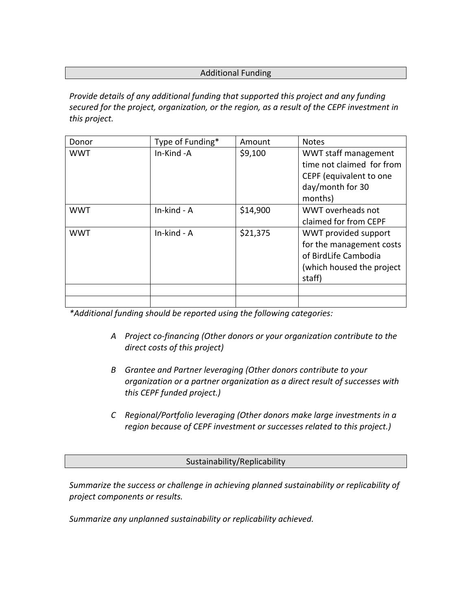## Additional Funding

*Provide details of any additional funding that supported this project and any funding secured for the project, organization, or the region, as a result of the CEPF investment in this project.* 

| Donor      | Type of Funding* | Amount   | <b>Notes</b>              |
|------------|------------------|----------|---------------------------|
| <b>WWT</b> | In-Kind-A        | \$9,100  | WWT staff management      |
|            |                  |          | time not claimed for from |
|            |                  |          | CEPF (equivalent to one   |
|            |                  |          | day/month for 30          |
|            |                  |          | months)                   |
| <b>WWT</b> | In-kind - A      | \$14,900 | WWT overheads not         |
|            |                  |          | claimed for from CEPF     |
| <b>WWT</b> | In-kind - A      | \$21,375 | WWT provided support      |
|            |                  |          | for the management costs  |
|            |                  |          | of BirdLife Cambodia      |
|            |                  |          | (which housed the project |
|            |                  |          | staff)                    |
|            |                  |          |                           |
|            |                  |          |                           |

*\*Additional funding should be reported using the following categories:*

- *A Project co‐financing (Other donors or your organization contribute to the direct costs of this project)*
- *B Grantee and Partner leveraging (Other donors contribute to your organization or a partner organization as a direct result of successes with this CEPF funded project.)*
- *C Regional/Portfolio leveraging (Other donors make large investments in a region because of CEPF investment or successes related to this project.)*

Sustainability/Replicability

*Summarize the success or challenge in achieving planned sustainability or replicability of project components or results.* 

*Summarize any unplanned sustainability or replicability achieved.*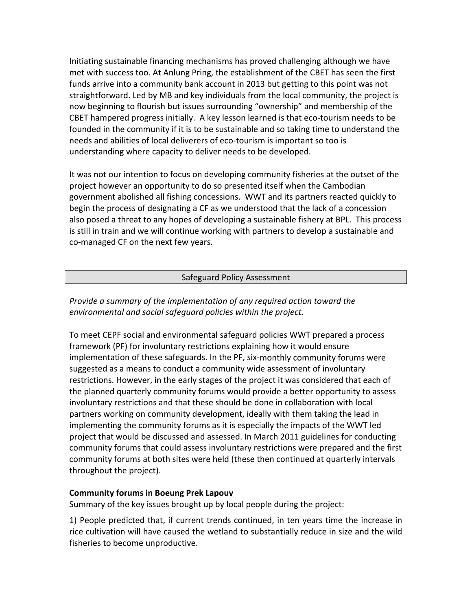Initiating sustainable financing mechanisms has proved challenging although we have met with success too. At Anlung Pring, the establishment of the CBET has seen the first funds arrive into a community bank account in 2013 but getting to this point was not straightforward. Led by MB and key individuals from the local community, the project is now beginning to flourish but issues surrounding "ownership" and membership of the CBET hampered progress initially. A key lesson learned is that eco‐tourism needs to be founded in the community if it is to be sustainable and so taking time to understand the needs and abilities of local deliverers of eco-tourism is important so too is understanding where capacity to deliver needs to be developed.

It was not our intention to focus on developing community fisheries at the outset of the project however an opportunity to do so presented itself when the Cambodian government abolished all fishing concessions. WWT and its partners reacted quickly to begin the process of designating a CF as we understood that the lack of a concession also posed a threat to any hopes of developing a sustainable fishery at BPL. This process is still in train and we will continue working with partners to develop a sustainable and co‐managed CF on the next few years.

## Safeguard Policy Assessment

# *Provide a summary of the implementation of any required action toward the environmental and social safeguard policies within the project.*

To meet CEPF social and environmental safeguard policies WWT prepared a process framework (PF) for involuntary restrictions explaining how it would ensure implementation of these safeguards. In the PF, six‐monthly community forums were suggested as a means to conduct a community wide assessment of involuntary restrictions. However, in the early stages of the project it was considered that each of the planned quarterly community forums would provide a better opportunity to assess involuntary restrictions and that these should be done in collaboration with local partners working on community development, ideally with them taking the lead in implementing the community forums as it is especially the impacts of the WWT led project that would be discussed and assessed. In March 2011 guidelines for conducting community forums that could assess involuntary restrictions were prepared and the first community forums at both sites were held (these then continued at quarterly intervals throughout the project).

## **Community forums in Boeung Prek Lapouv**

Summary of the key issues brought up by local people during the project:

1) People predicted that, if current trends continued, in ten years time the increase in rice cultivation will have caused the wetland to substantially reduce in size and the wild fisheries to become unproductive.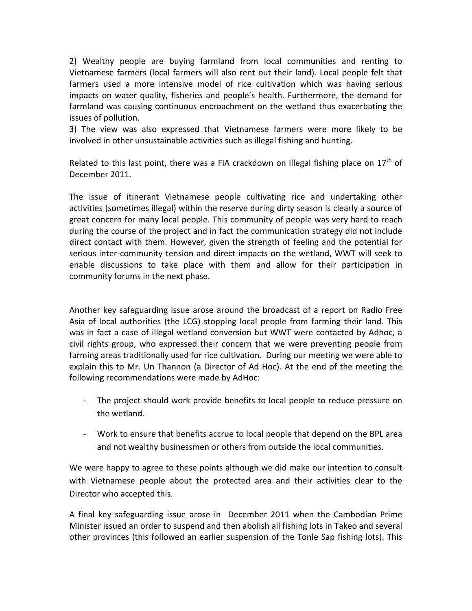2) Wealthy people are buying farmland from local communities and renting to Vietnamese farmers (local farmers will also rent out their land). Local people felt that farmers used a more intensive model of rice cultivation which was having serious impacts on water quality, fisheries and people's health. Furthermore, the demand for farmland was causing continuous encroachment on the wetland thus exacerbating the issues of pollution.

3) The view was also expressed that Vietnamese farmers were more likely to be involved in other unsustainable activities such as illegal fishing and hunting.

Related to this last point, there was a FiA crackdown on illegal fishing place on  $17<sup>th</sup>$  of December 2011.

The issue of itinerant Vietnamese people cultivating rice and undertaking other activities (sometimes illegal) within the reserve during dirty season is clearly a source of great concern for many local people. This community of people was very hard to reach during the course of the project and in fact the communication strategy did not include direct contact with them. However, given the strength of feeling and the potential for serious inter-community tension and direct impacts on the wetland, WWT will seek to enable discussions to take place with them and allow for their participation in community forums in the next phase.

Another key safeguarding issue arose around the broadcast of a report on Radio Free Asia of local authorities (the LCG) stopping local people from farming their land. This was in fact a case of illegal wetland conversion but WWT were contacted by Adhoc, a civil rights group, who expressed their concern that we were preventing people from farming areas traditionally used for rice cultivation. During our meeting we were able to explain this to Mr. Un Thannon (a Director of Ad Hoc). At the end of the meeting the following recommendations were made by AdHoc:

- ‐ The project should work provide benefits to local people to reduce pressure on the wetland.
- ‐ Work to ensure that benefits accrue to local people that depend on the BPL area and not wealthy businessmen or others from outside the local communities.

We were happy to agree to these points although we did make our intention to consult with Vietnamese people about the protected area and their activities clear to the Director who accepted this.

A final key safeguarding issue arose in December 2011 when the Cambodian Prime Minister issued an order to suspend and then abolish all fishing lots in Takeo and several other provinces (this followed an earlier suspension of the Tonle Sap fishing lots). This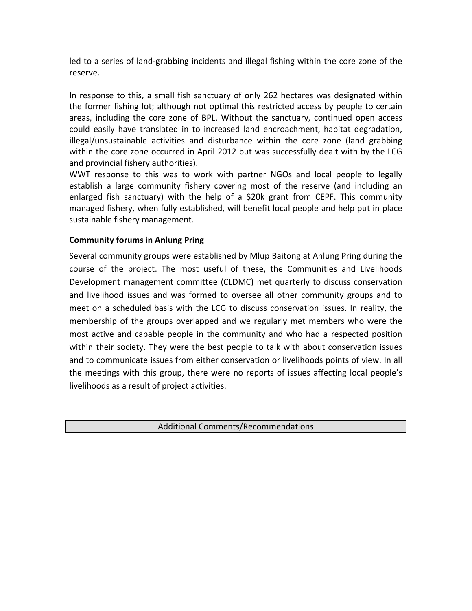led to a series of land‐grabbing incidents and illegal fishing within the core zone of the reserve.

In response to this, a small fish sanctuary of only 262 hectares was designated within the former fishing lot; although not optimal this restricted access by people to certain areas, including the core zone of BPL. Without the sanctuary, continued open access could easily have translated in to increased land encroachment, habitat degradation, illegal/unsustainable activities and disturbance within the core zone (land grabbing within the core zone occurred in April 2012 but was successfully dealt with by the LCG and provincial fishery authorities).

WWT response to this was to work with partner NGOs and local people to legally establish a large community fishery covering most of the reserve (and including an enlarged fish sanctuary) with the help of a \$20k grant from CEPF. This community managed fishery, when fully established, will benefit local people and help put in place sustainable fishery management.

# **Community forums in Anlung Pring**

Several community groups were established by Mlup Baitong at Anlung Pring during the course of the project. The most useful of these, the Communities and Livelihoods Development management committee (CLDMC) met quarterly to discuss conservation and livelihood issues and was formed to oversee all other community groups and to meet on a scheduled basis with the LCG to discuss conservation issues. In reality, the membership of the groups overlapped and we regularly met members who were the most active and capable people in the community and who had a respected position within their society. They were the best people to talk with about conservation issues and to communicate issues from either conservation or livelihoods points of view. In all the meetings with this group, there were no reports of issues affecting local people's livelihoods as a result of project activities.

Additional Comments/Recommendations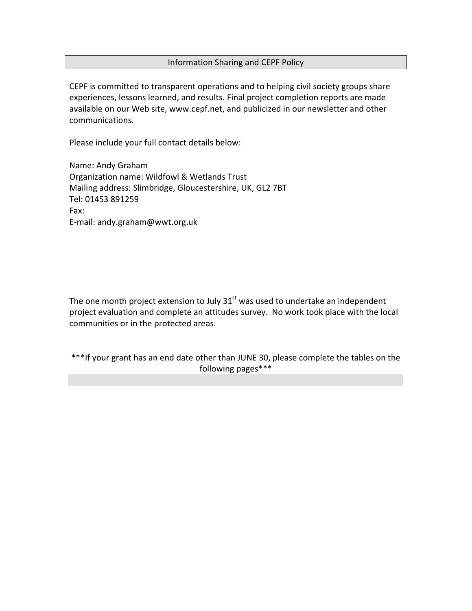### Information Sharing and CEPF Policy

CEPF is committed to transparent operations and to helping civil society groups share experiences, lessons learned, and results. Final project completion reports are made available on our Web site, www.cepf.net, and publicized in our newsletter and other communications.

Please include your full contact details below:

Name: Andy Graham Organization name: Wildfowl & Wetlands Trust Mailing address: Slimbridge, Gloucestershire, UK, GL2 7BT Tel: 01453 891259 Fax: E‐mail: andy.graham@wwt.org.uk

The one month project extension to July  $31<sup>st</sup>$  was used to undertake an independent project evaluation and complete an attitudes survey. No work took place with the local communities or in the protected areas.

\*\*\*If your grant has an end date other than JUNE 30, please complete the tables on the following pages\*\*\*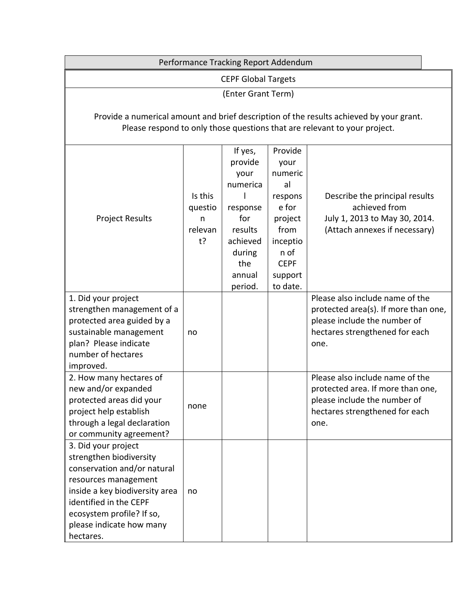|                                                                                                                                                                                                                                         |                                             | Performance Tracking Report Addendum                                                                                   |                                                                                                                                   |                                                                                                                                                   |  |  |  |  |  |  |  |  |
|-----------------------------------------------------------------------------------------------------------------------------------------------------------------------------------------------------------------------------------------|---------------------------------------------|------------------------------------------------------------------------------------------------------------------------|-----------------------------------------------------------------------------------------------------------------------------------|---------------------------------------------------------------------------------------------------------------------------------------------------|--|--|--|--|--|--|--|--|
|                                                                                                                                                                                                                                         |                                             | <b>CEPF Global Targets</b>                                                                                             |                                                                                                                                   |                                                                                                                                                   |  |  |  |  |  |  |  |  |
|                                                                                                                                                                                                                                         |                                             | (Enter Grant Term)                                                                                                     |                                                                                                                                   |                                                                                                                                                   |  |  |  |  |  |  |  |  |
| Provide a numerical amount and brief description of the results achieved by your grant.<br>Please respond to only those questions that are relevant to your project.                                                                    |                                             |                                                                                                                        |                                                                                                                                   |                                                                                                                                                   |  |  |  |  |  |  |  |  |
| <b>Project Results</b>                                                                                                                                                                                                                  | Is this<br>questio<br>n<br>relevan<br>$t$ ? | If yes,<br>provide<br>your<br>numerica<br>response<br>for<br>results<br>achieved<br>during<br>the<br>annual<br>period. | Provide<br>your<br>numeric<br>al<br>respons<br>e for<br>project<br>from<br>inceptio<br>n of<br><b>CEPF</b><br>support<br>to date. | Describe the principal results<br>achieved from<br>July 1, 2013 to May 30, 2014.<br>(Attach annexes if necessary)                                 |  |  |  |  |  |  |  |  |
| 1. Did your project<br>strengthen management of a<br>protected area guided by a<br>sustainable management<br>plan? Please indicate<br>number of hectares<br>improved.                                                                   | no                                          |                                                                                                                        |                                                                                                                                   | Please also include name of the<br>protected area(s). If more than one,<br>please include the number of<br>hectares strengthened for each<br>one. |  |  |  |  |  |  |  |  |
| 2. How many hectares of<br>new and/or expanded<br>protected areas did your<br>project help establish<br>through a legal declaration<br>or community agreement?                                                                          | none                                        |                                                                                                                        |                                                                                                                                   | Please also include name of the<br>protected area. If more than one,<br>please include the number of<br>hectares strengthened for each<br>one.    |  |  |  |  |  |  |  |  |
| 3. Did your project<br>strengthen biodiversity<br>conservation and/or natural<br>resources management<br>inside a key biodiversity area<br>identified in the CEPF<br>ecosystem profile? If so,<br>please indicate how many<br>hectares. | no                                          |                                                                                                                        |                                                                                                                                   |                                                                                                                                                   |  |  |  |  |  |  |  |  |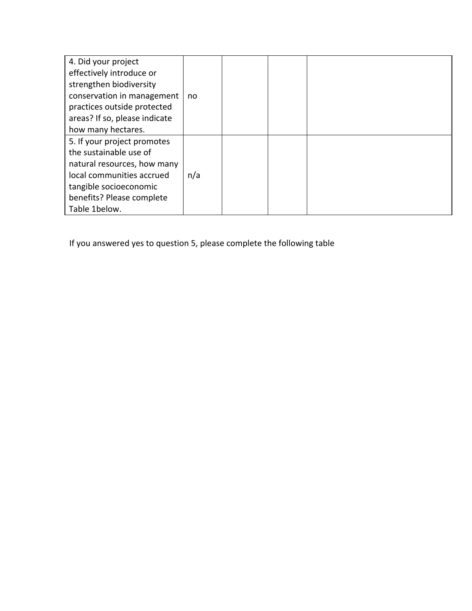| 4. Did your project           |     |  |  |
|-------------------------------|-----|--|--|
| effectively introduce or      |     |  |  |
| strengthen biodiversity       |     |  |  |
| conservation in management    | no  |  |  |
| practices outside protected   |     |  |  |
| areas? If so, please indicate |     |  |  |
| how many hectares.            |     |  |  |
| 5. If your project promotes   |     |  |  |
| the sustainable use of        |     |  |  |
| natural resources, how many   |     |  |  |
| local communities accrued     | n/a |  |  |
| tangible socioeconomic        |     |  |  |
| benefits? Please complete     |     |  |  |
| Table 1below.                 |     |  |  |

If you answered yes to question 5, please complete the following table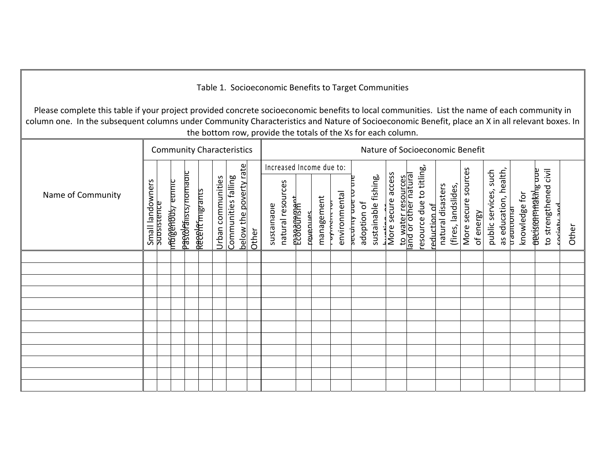## Table 1. Socioeconomic Benefits to Target Communities

Please complete this table if your project provided concrete socioeconomic benefits to local communities. List the name of each community in column one. In the subsequent columns under Community Characteristics and Nature of Socioeconomic Benefit, place an X in all relevant boxes. In the bottom row, provide the totals of the Xs for each column.

|                   |                  |             |                      |                                  |                 |                   | <b>Community Characteristics</b>              |       | Nature of Socioeconomic Benefit                              |                       |          |            |                            |                                  |                      |                    |                                            |                                          |                   |                     |                     |           |                          |                       |                             |                                              |                                                                                  |       |
|-------------------|------------------|-------------|----------------------|----------------------------------|-----------------|-------------------|-----------------------------------------------|-------|--------------------------------------------------------------|-----------------------|----------|------------|----------------------------|----------------------------------|----------------------|--------------------|--------------------------------------------|------------------------------------------|-------------------|---------------------|---------------------|-----------|--------------------------|-----------------------|-----------------------------|----------------------------------------------|----------------------------------------------------------------------------------|-------|
| Name of Community | Small landowners | subsistence | malestrage de l'unio | <del>pastola</del> insts/nomaarc | Recent migrants | Urban communities | below the poverty rate<br>Communities falling | Other | Increased Income due to:<br>natural resources<br>sustainable | <del>paragement</del> | sənuə/və | management | environmental<br>zyriterre | Β<br>security uue<br>adoption of | sustainable fishing, | More secure access | to water resources<br>and or other natural | resource due to titling,<br>reduction of | natural disasters | (fires, landslides, | More secure sources | of energy | such<br>public services, | as education, health, | knowledge for<br>trautuonal | uue<br><del>aevisoornakal<sub>le</sub></del> | $\overline{\overline{\overline{\overline{z}}}}$<br>to strengthened<br>ζ<br>ىنەنە | Other |
|                   |                  |             |                      |                                  |                 |                   |                                               |       |                                                              |                       |          |            |                            |                                  |                      |                    |                                            |                                          |                   |                     |                     |           |                          |                       |                             |                                              |                                                                                  |       |
|                   |                  |             |                      |                                  |                 |                   |                                               |       |                                                              |                       |          |            |                            |                                  |                      |                    |                                            |                                          |                   |                     |                     |           |                          |                       |                             |                                              |                                                                                  |       |
|                   |                  |             |                      |                                  |                 |                   |                                               |       |                                                              |                       |          |            |                            |                                  |                      |                    |                                            |                                          |                   |                     |                     |           |                          |                       |                             |                                              |                                                                                  |       |
|                   |                  |             |                      |                                  |                 |                   |                                               |       |                                                              |                       |          |            |                            |                                  |                      |                    |                                            |                                          |                   |                     |                     |           |                          |                       |                             |                                              |                                                                                  |       |
|                   |                  |             |                      |                                  |                 |                   |                                               |       |                                                              |                       |          |            |                            |                                  |                      |                    |                                            |                                          |                   |                     |                     |           |                          |                       |                             |                                              |                                                                                  |       |
|                   |                  |             |                      |                                  |                 |                   |                                               |       |                                                              |                       |          |            |                            |                                  |                      |                    |                                            |                                          |                   |                     |                     |           |                          |                       |                             |                                              |                                                                                  |       |
|                   |                  |             |                      |                                  |                 |                   |                                               |       |                                                              |                       |          |            |                            |                                  |                      |                    |                                            |                                          |                   |                     |                     |           |                          |                       |                             |                                              |                                                                                  |       |
|                   |                  |             |                      |                                  |                 |                   |                                               |       |                                                              |                       |          |            |                            |                                  |                      |                    |                                            |                                          |                   |                     |                     |           |                          |                       |                             |                                              |                                                                                  |       |
|                   |                  |             |                      |                                  |                 |                   |                                               |       |                                                              |                       |          |            |                            |                                  |                      |                    |                                            |                                          |                   |                     |                     |           |                          |                       |                             |                                              |                                                                                  |       |
|                   |                  |             |                      |                                  |                 |                   |                                               |       |                                                              |                       |          |            |                            |                                  |                      |                    |                                            |                                          |                   |                     |                     |           |                          |                       |                             |                                              |                                                                                  |       |
|                   |                  |             |                      |                                  |                 |                   |                                               |       |                                                              |                       |          |            |                            |                                  |                      |                    |                                            |                                          |                   |                     |                     |           |                          |                       |                             |                                              |                                                                                  |       |
|                   |                  |             |                      |                                  |                 |                   |                                               |       |                                                              |                       |          |            |                            |                                  |                      |                    |                                            |                                          |                   |                     |                     |           |                          |                       |                             |                                              |                                                                                  |       |